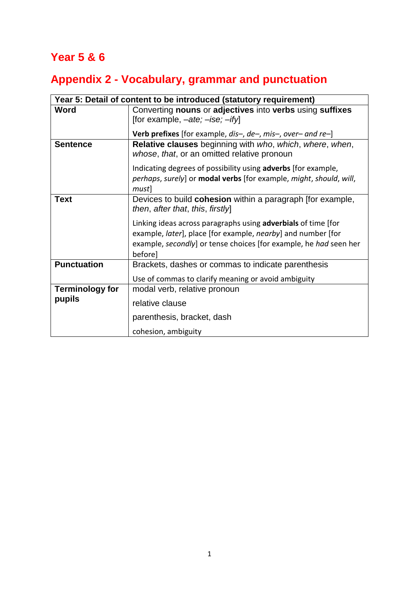## **Year 5 & 6**

## **Appendix 2 - Vocabulary, grammar and punctuation**

| Year 5: Detail of content to be introduced (statutory requirement) |                                                                                                                                                                                                                      |
|--------------------------------------------------------------------|----------------------------------------------------------------------------------------------------------------------------------------------------------------------------------------------------------------------|
| Word                                                               | Converting nouns or adjectives into verbs using suffixes<br>[for example, $-ate$ ; $-ise$ ; $-ify$ ]                                                                                                                 |
|                                                                    | <b>Verb prefixes</b> [for example, $dis-, de-, mis-, over-$ and $re-)$                                                                                                                                               |
| <b>Sentence</b>                                                    | <b>Relative clauses</b> beginning with who, which, where, when,<br>whose, that, or an omitted relative pronoun                                                                                                       |
|                                                                    | Indicating degrees of possibility using <b>adverbs</b> [for example,<br>perhaps, surely] or <b>modal verbs</b> [for example, might, should, will,<br>must]                                                           |
| <b>Text</b>                                                        | Devices to build <b>cohesion</b> within a paragraph [for example,<br>then, after that, this, firstly                                                                                                                 |
|                                                                    | Linking ideas across paragraphs using <b>adverbials</b> of time [for<br>example, later], place [for example, nearby] and number [for<br>example, secondly] or tense choices [for example, he had seen her<br>before] |
| <b>Punctuation</b>                                                 | Brackets, dashes or commas to indicate parenthesis                                                                                                                                                                   |
|                                                                    | Use of commas to clarify meaning or avoid ambiguity                                                                                                                                                                  |
| <b>Terminology for</b>                                             | modal verb, relative pronoun                                                                                                                                                                                         |
| pupils                                                             | relative clause                                                                                                                                                                                                      |
|                                                                    | parenthesis, bracket, dash                                                                                                                                                                                           |
|                                                                    | cohesion, ambiguity                                                                                                                                                                                                  |